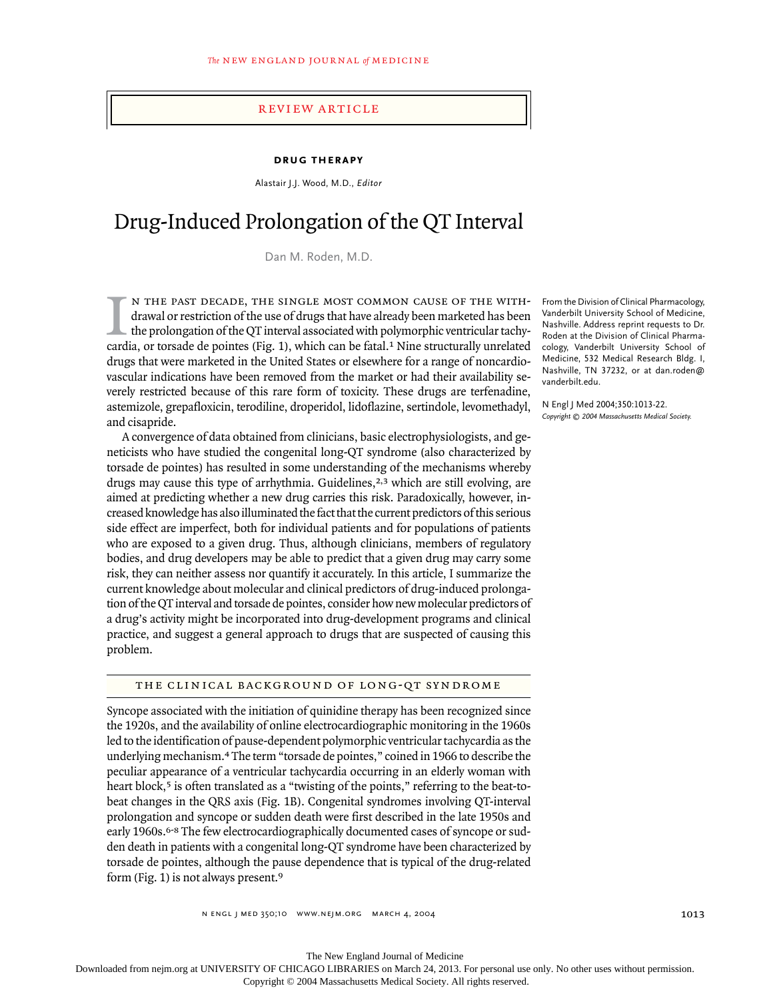## review article

# **drug therapy**

Alastair J.J. Wood, M.D., *Editor*

# Drug-Induced Prolongation of the QT Interval

Dan M. Roden, M.D.

n the past decade, the single most common cause of the withdrawal or restriction of the use of drugs that have already been marketed has been the prolongation of the QT interval associated with polymorphic ventricular tachycardia, or torsade de pointes (Fig. 1), which can be fatal.<sup>1</sup> Nine structurally unrelated drugs that were marketed in the United States or elsewhere for a range of noncardiovascular indications have been removed from the market or had their availability severely restricted because of this rare form of toxicity. These drugs are terfenadine, astemizole, grepafloxicin, terodiline, droperidol, lidoflazine, sertindole, levomethadyl, and cisapride. i

A convergence of data obtained from clinicians, basic electrophysiologists, and geneticists who have studied the congenital long-QT syndrome (also characterized by torsade de pointes) has resulted in some understanding of the mechanisms whereby drugs may cause this type of arrhythmia. Guidelines, $2,3$  which are still evolving, are aimed at predicting whether a new drug carries this risk. Paradoxically, however, increased knowledge has also illuminated the fact that the current predictors of this serious side effect are imperfect, both for individual patients and for populations of patients who are exposed to a given drug. Thus, although clinicians, members of regulatory bodies, and drug developers may be able to predict that a given drug may carry some risk, they can neither assess nor quantify it accurately. In this article, I summarize the current knowledge about molecular and clinical predictors of drug-induced prolongation of the QT interval and torsade de pointes, consider how new molecular predictors of a drug's activity might be incorporated into drug-development programs and clinical practice, and suggest a general approach to drugs that are suspected of causing this problem.

### the clinical background of long-qt syndrome

Syncope associated with the initiation of quinidine therapy has been recognized since the 1920s, and the availability of online electrocardiographic monitoring in the 1960s led to the identification of pause-dependent polymorphic ventricular tachycardia as the underlying mechanism.4 The term "torsade de pointes," coined in 1966 to describe the peculiar appearance of a ventricular tachycardia occurring in an elderly woman with heart block,<sup>5</sup> is often translated as a "twisting of the points," referring to the beat-tobeat changes in the QRS axis (Fig. 1B). Congenital syndromes involving QT-interval prolongation and syncope or sudden death were first described in the late 1950s and early 1960s.6-8 The few electrocardiographically documented cases of syncope or sudden death in patients with a congenital long-QT syndrome have been characterized by torsade de pointes, although the pause dependence that is typical of the drug-related form (Fig. 1) is not always present.<sup>9</sup>

n engl j med 350;10 www.nejm.org march 4, 2004

From the Division of Clinical Pharmacology, Vanderbilt University School of Medicine, Nashville. Address reprint requests to Dr. Roden at the Division of Clinical Pharmacology, Vanderbilt University School of Medicine, 532 Medical Research Bldg. I, Nashville, TN 37232, or at dan.roden@ vanderbilt.edu.

N Engl J Med 2004;350:1013-22. *Copyright © 2004 Massachusetts Medical Society.*

1013

The New England Journal of Medicine

Downloaded from nejm.org at UNIVERSITY OF CHICAGO LIBRARIES on March 24, 2013. For personal use only. No other uses without permission.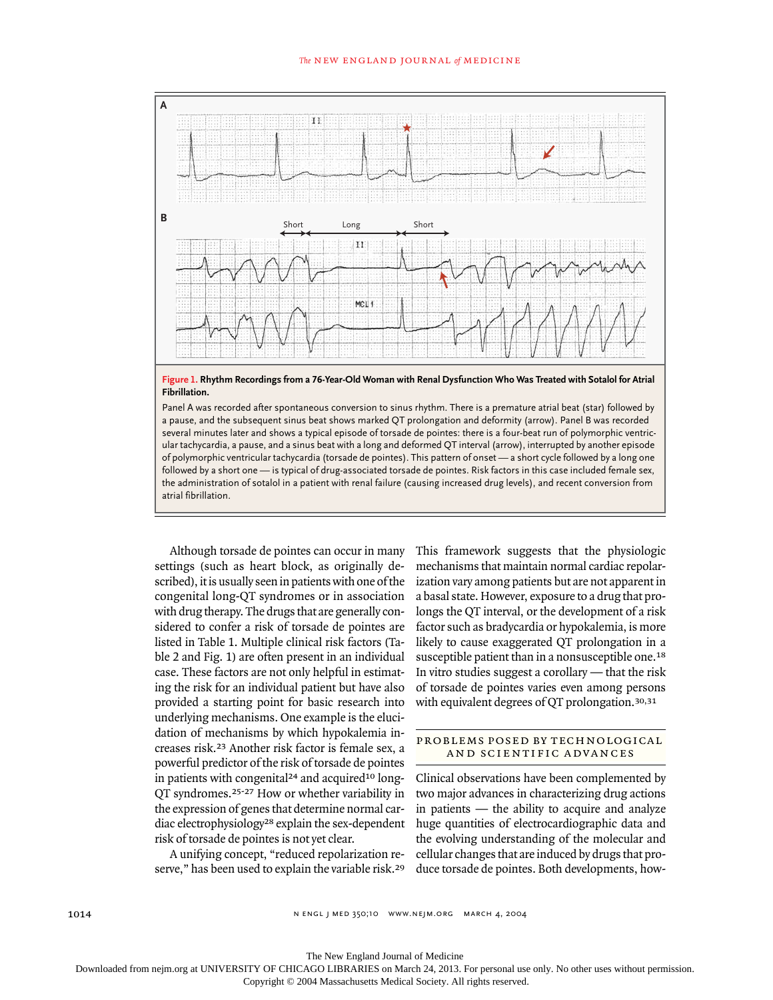#### *The* new england journal *of* medicine



**Figure 1. Rhythm Recordings from a 76-Year-Old Woman with Renal Dysfunction Who Was Treated with Sotalol for Atrial Fibrillation.**

Panel A was recorded after spontaneous conversion to sinus rhythm. There is a premature atrial beat (star) followed by a pause, and the subsequent sinus beat shows marked QT prolongation and deformity (arrow). Panel B was recorded several minutes later and shows a typical episode of torsade de pointes: there is a four-beat run of polymorphic ventricular tachycardia, a pause, and a sinus beat with a long and deformed QT interval (arrow), interrupted by another episode of polymorphic ventricular tachycardia (torsade de pointes). This pattern of onset — a short cycle followed by a long one followed by a short one — is typical of drug-associated torsade de pointes. Risk factors in this case included female sex, the administration of sotalol in a patient with renal failure (causing increased drug levels), and recent conversion from atrial fibrillation.

Although torsade de pointes can occur in many settings (such as heart block, as originally described), it is usually seen in patients with one of the congenital long-QT syndromes or in association with drug therapy. The drugs that are generally considered to confer a risk of torsade de pointes are listed in Table 1. Multiple clinical risk factors (Table 2 and Fig. 1) are often present in an individual case. These factors are not only helpful in estimating the risk for an individual patient but have also provided a starting point for basic research into underlying mechanisms. One example is the elucidation of mechanisms by which hypokalemia increases risk.23 Another risk factor is female sex, a powerful predictor of the risk of torsade de pointes in patients with congenital<sup>24</sup> and acquired<sup>10</sup> long-QT syndromes.25-27 How or whether variability in the expression of genes that determine normal cardiac electrophysiology28 explain the sex-dependent risk of torsade de pointes is not yet clear.

A unifying concept, "reduced repolarization reserve," has been used to explain the variable risk.<sup>29</sup> This framework suggests that the physiologic mechanisms that maintain normal cardiac repolarization vary among patients but are not apparent in a basal state. However, exposure to a drug that prolongs the QT interval, or the development of a risk factor such as bradycardia or hypokalemia, is more likely to cause exaggerated QT prolongation in a susceptible patient than in a nonsusceptible one.<sup>18</sup> In vitro studies suggest a corollary — that the risk of torsade de pointes varies even among persons with equivalent degrees of QT prolongation.30,31

## problems posed by technological and scientific advances

Clinical observations have been complemented by two major advances in characterizing drug actions in patients — the ability to acquire and analyze huge quantities of electrocardiographic data and the evolving understanding of the molecular and cellular changes that are induced by drugs that produce torsade de pointes. Both developments, how-

The New England Journal of Medicine Downloaded from nejm.org at UNIVERSITY OF CHICAGO LIBRARIES on March 24, 2013. For personal use only. No other uses without permission.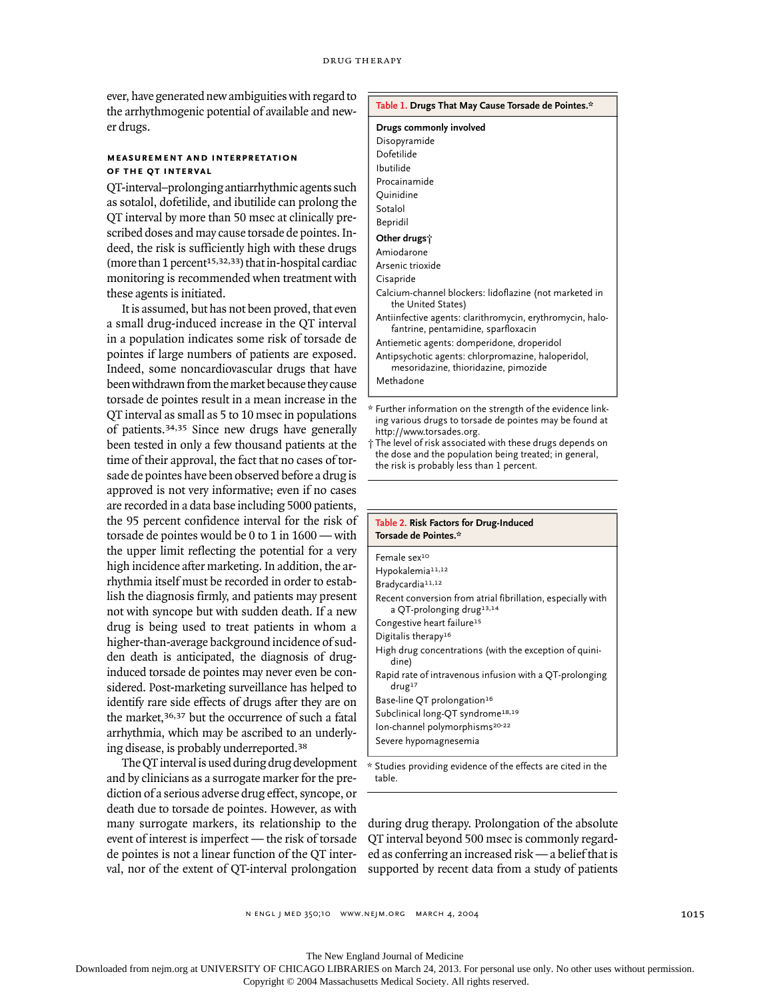ever, have generated new ambiguities with regard to the arrhythmogenic potential of available and newer drugs.

## **measurement and interpretation OF THE OT INTERVAL**

QT-interval–prolonging antiarrhythmic agents such as sotalol, dofetilide, and ibutilide can prolong the QT interval by more than 50 msec at clinically prescribed doses and may cause torsade de pointes. Indeed, the risk is sufficiently high with these drugs (more than 1 percent<sup>15,32,33</sup>) that in-hospital cardiac monitoring is recommended when treatment with these agents is initiated.

It is assumed, but has not been proved, that even a small drug-induced increase in the QT interval in a population indicates some risk of torsade de pointes if large numbers of patients are exposed. Indeed, some noncardiovascular drugs that have been withdrawn from the market because they cause torsade de pointes result in a mean increase in the QT interval as small as 5 to 10 msec in populations of patients.34,35 Since new drugs have generally been tested in only a few thousand patients at the time of their approval, the fact that no cases of torsade de pointes have been observed before a drug is approved is not very informative; even if no cases are recorded in a data base including 5000 patients, the 95 percent confidence interval for the risk of torsade de pointes would be 0 to 1 in 1600 — with the upper limit reflecting the potential for a very high incidence after marketing. In addition, the arrhythmia itself must be recorded in order to establish the diagnosis firmly, and patients may present not with syncope but with sudden death. If a new drug is being used to treat patients in whom a higher-than-average background incidence of sudden death is anticipated, the diagnosis of druginduced torsade de pointes may never even be considered. Post-marketing surveillance has helped to identify rare side effects of drugs after they are on the market,36,37 but the occurrence of such a fatal arrhythmia, which may be ascribed to an underlying disease, is probably underreported.<sup>38</sup>

The QT interval is used during drug development and by clinicians as a surrogate marker for the prediction of a serious adverse drug effect, syncope, or death due to torsade de pointes. However, as with many surrogate markers, its relationship to the event of interest is imperfect — the risk of torsade de pointes is not a linear function of the QT interval, nor of the extent of QT-interval prolongation

| Table 1. Drugs That May Cause Torsade de Pointes.*                                               |
|--------------------------------------------------------------------------------------------------|
| Drugs commonly involved                                                                          |
| Disopyramide                                                                                     |
| Dofetilide                                                                                       |
| <b>Ibutilide</b>                                                                                 |
| Procainamide                                                                                     |
| Quinidine                                                                                        |
| Sotalol                                                                                          |
| Bepridil                                                                                         |
| Other drugs †                                                                                    |
| Amiodarone                                                                                       |
| Arsenic trioxide                                                                                 |
| Cisapride                                                                                        |
| Calcium-channel blockers: lidoflazine (not marketed in<br>the United States)                     |
| Antiinfective agents: clarithromycin, erythromycin, halo-<br>fantrine, pentamidine, sparfloxacin |
| Antiemetic agents: domperidone, droperidol                                                       |
| Antipsychotic agents: chlorpromazine, haloperidol,<br>mesoridazine, thioridazine, pimozide       |
| Methadone                                                                                        |
| * Euskas information on the strength of the suidence link                                        |

information on the strength of the e ing various drugs to torsade de pointes may be found at http://www.torsades.org.

† The level of risk associated with these drugs depends on the dose and the population being treated; in general, the risk is probably less than 1 percent.

| Table 2. Risk Factors for Drug-Induced<br>Torsade de Pointes.*                                       |
|------------------------------------------------------------------------------------------------------|
| Female sex <sup>10</sup>                                                                             |
| Hypokalemia <sup>11,12</sup>                                                                         |
| Bradycardia <sup>11,12</sup>                                                                         |
| Recent conversion from atrial fibrillation, especially with<br>a QT-prolonging drug <sup>13,14</sup> |
| Congestive heart failure <sup>15</sup>                                                               |
| Digitalis therapy <sup>16</sup>                                                                      |
| High drug concentrations (with the exception of quini-<br>dine)                                      |
| Rapid rate of intravenous infusion with a QT-prolonging<br>drug <sup>17</sup>                        |
| Base-line QT prolongation <sup>16</sup>                                                              |
| Subclinical long-QT syndrome <sup>18,19</sup>                                                        |
| lon-channel polymorphisms <sup>20-22</sup>                                                           |
| Severe hypomagnesemia                                                                                |

\* Studies providing evidence of the effects are cited in the table.

during drug therapy. Prolongation of the absolute QT interval beyond 500 msec is commonly regarded as conferring an increased risk — a belief that is supported by recent data from a study of patients

1015

The New England Journal of Medicine

Downloaded from nejm.org at UNIVERSITY OF CHICAGO LIBRARIES on March 24, 2013. For personal use only. No other uses without permission.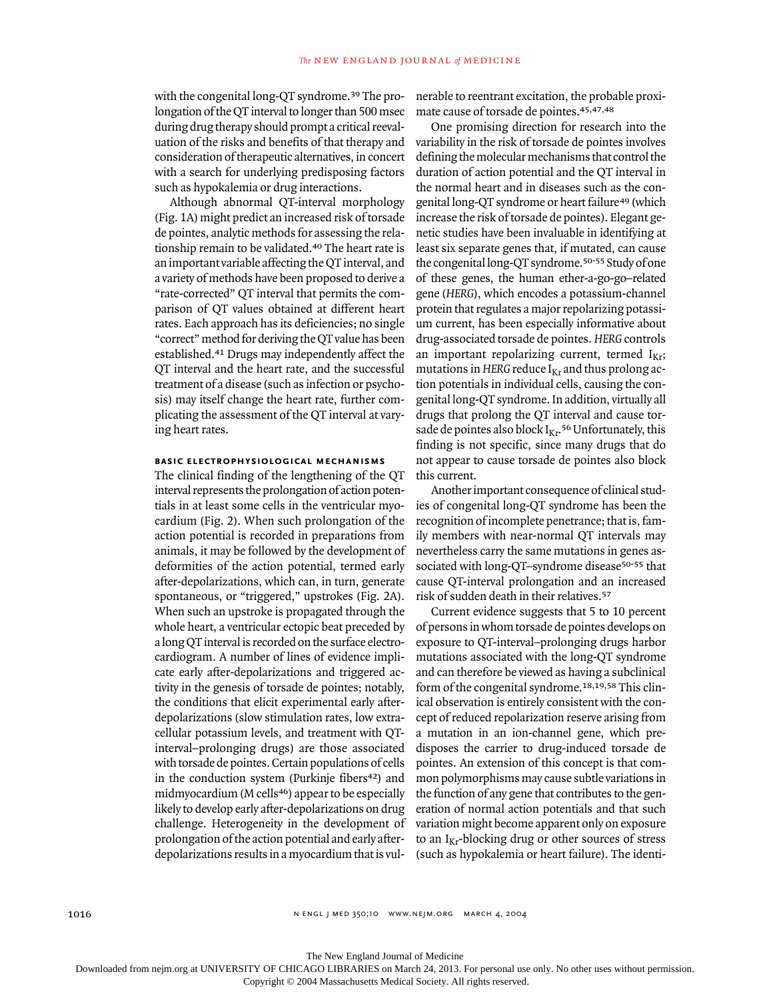with the congenital long-QT syndrome.39 The prolongation of the QT interval to longer than 500 msec during drug therapy should prompt a critical reevaluation of the risks and benefits of that therapy and consideration of therapeutic alternatives, in concert with a search for underlying predisposing factors such as hypokalemia or drug interactions.

Although abnormal QT-interval morphology (Fig. 1A) might predict an increased risk of torsade de pointes, analytic methods for assessing the relationship remain to be validated.40 The heart rate is an important variable affecting the QT interval, and a variety of methods have been proposed to derive a "rate-corrected" QT interval that permits the comparison of QT values obtained at different heart rates. Each approach has its deficiencies; no single "correct" method for deriving the QT value has been established.41 Drugs may independently affect the QT interval and the heart rate, and the successful treatment of a disease (such as infection or psychosis) may itself change the heart rate, further complicating the assessment of the QT interval at varying heart rates.

## **basic electrophysiological mechanisms**

The clinical finding of the lengthening of the QT interval represents the prolongation of action potentials in at least some cells in the ventricular myocardium (Fig. 2). When such prolongation of the action potential is recorded in preparations from animals, it may be followed by the development of deformities of the action potential, termed early after-depolarizations, which can, in turn, generate spontaneous, or "triggered," upstrokes (Fig. 2A). When such an upstroke is propagated through the whole heart, a ventricular ectopic beat preceded by a long QT interval is recorded on the surface electrocardiogram. A number of lines of evidence implicate early after-depolarizations and triggered activity in the genesis of torsade de pointes; notably, the conditions that elicit experimental early afterdepolarizations (slow stimulation rates, low extracellular potassium levels, and treatment with QTinterval–prolonging drugs) are those associated with torsade de pointes. Certain populations of cells in the conduction system (Purkinje fibers<sup>42</sup>) and midmyocardium (M cells<sup>46</sup>) appear to be especially likely to develop early after-depolarizations on drug challenge. Heterogeneity in the development of prolongation of the action potential and early afterdepolarizations results in a myocardium that is vulnerable to reentrant excitation, the probable proximate cause of torsade de pointes.45,47,48

One promising direction for research into the variability in the risk of torsade de pointes involves defining the molecular mechanisms that control the duration of action potential and the QT interval in the normal heart and in diseases such as the congenital long-QT syndrome or heart failure<sup>49</sup> (which increase the risk of torsade de pointes). Elegant genetic studies have been invaluable in identifying at least six separate genes that, if mutated, can cause the congenital long-QT syndrome.50-55 Study of one of these genes, the human ether-a-go-go–related gene (*HERG*), which encodes a potassium-channel protein that regulates a major repolarizing potassium current, has been especially informative about drug-associated torsade de pointes. *HERG* controls an important repolarizing current, termed  $I_{Kr}$ ; mutations in *HERG* reduce  $I_{Kr}$  and thus prolong action potentials in individual cells, causing the congenital long-QT syndrome. In addition, virtually all drugs that prolong the QT interval and cause torsade de pointes also block  $I_{Kr}$ .<sup>56</sup> Unfortunately, this finding is not specific, since many drugs that do not appear to cause torsade de pointes also block this current.

Another important consequence of clinical studies of congenital long-QT syndrome has been the recognition of incomplete penetrance; that is, family members with near-normal QT intervals may nevertheless carry the same mutations in genes associated with long-QT-syndrome disease<sup>50-55</sup> that cause QT-interval prolongation and an increased risk of sudden death in their relatives.<sup>57</sup>

Current evidence suggests that 5 to 10 percent of persons in whom torsade de pointes develops on exposure to QT-interval–prolonging drugs harbor mutations associated with the long-QT syndrome and can therefore be viewed as having a subclinical form of the congenital syndrome.18,19,58 This clinical observation is entirely consistent with the concept of reduced repolarization reserve arising from a mutation in an ion-channel gene, which predisposes the carrier to drug-induced torsade de pointes. An extension of this concept is that common polymorphisms may cause subtle variations in the function of any gene that contributes to the generation of normal action potentials and that such variation might become apparent only on exposure to an  $I_{Kr}$ -blocking drug or other sources of stress (such as hypokalemia or heart failure). The identi-

The New England Journal of Medicine

Downloaded from nejm.org at UNIVERSITY OF CHICAGO LIBRARIES on March 24, 2013. For personal use only. No other uses without permission.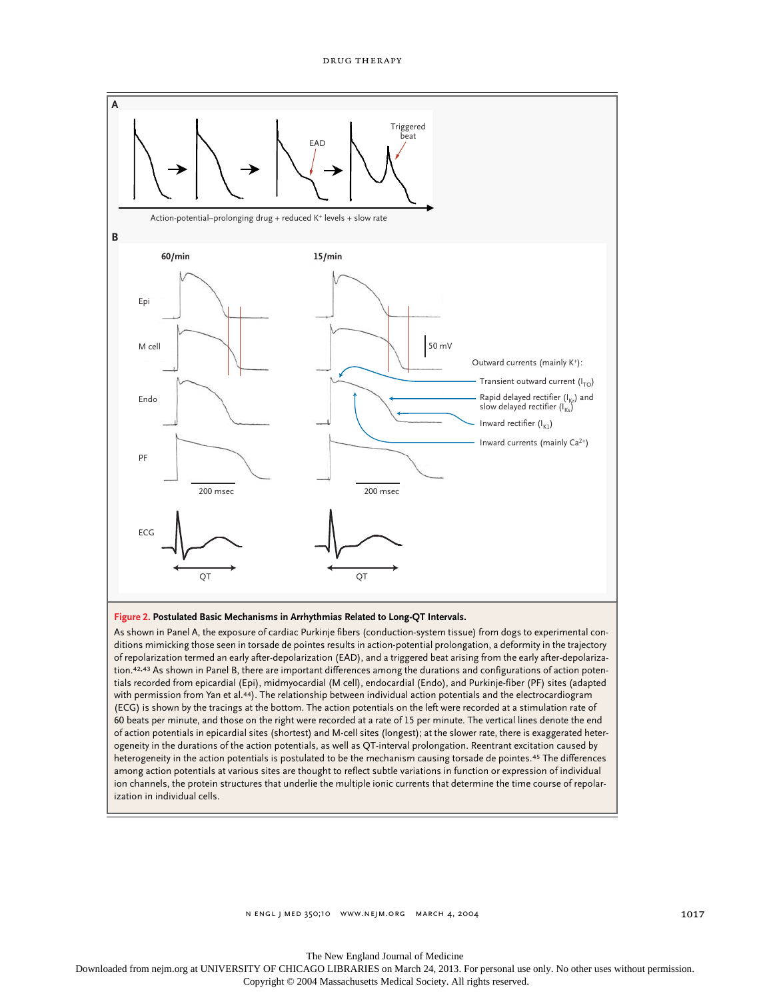

#### **Figure 2. Postulated Basic Mechanisms in Arrhythmias Related to Long-QT Intervals.**

As shown in Panel A, the exposure of cardiac Purkinje fibers (conduction-system tissue) from dogs to experimental conditions mimicking those seen in torsade de pointes results in action-potential prolongation, a deformity in the trajectory of repolarization termed an early after-depolarization (EAD), and a triggered beat arising from the early after-depolarization.42,43 As shown in Panel B, there are important differences among the durations and configurations of action potentials recorded from epicardial (Epi), midmyocardial (M cell), endocardial (Endo), and Purkinje-fiber (PF) sites (adapted with permission from Yan et al.44). The relationship between individual action potentials and the electrocardiogram (ECG) is shown by the tracings at the bottom. The action potentials on the left were recorded at a stimulation rate of 60 beats per minute, and those on the right were recorded at a rate of 15 per minute. The vertical lines denote the end of action potentials in epicardial sites (shortest) and M-cell sites (longest); at the slower rate, there is exaggerated heterogeneity in the durations of the action potentials, as well as QT-interval prolongation. Reentrant excitation caused by heterogeneity in the action potentials is postulated to be the mechanism causing torsade de pointes.<sup>45</sup> The differences among action potentials at various sites are thought to reflect subtle variations in function or expression of individual ion channels, the protein structures that underlie the multiple ionic currents that determine the time course of repolarization in individual cells.

The New England Journal of Medicine

Downloaded from nejm.org at UNIVERSITY OF CHICAGO LIBRARIES on March 24, 2013. For personal use only. No other uses without permission.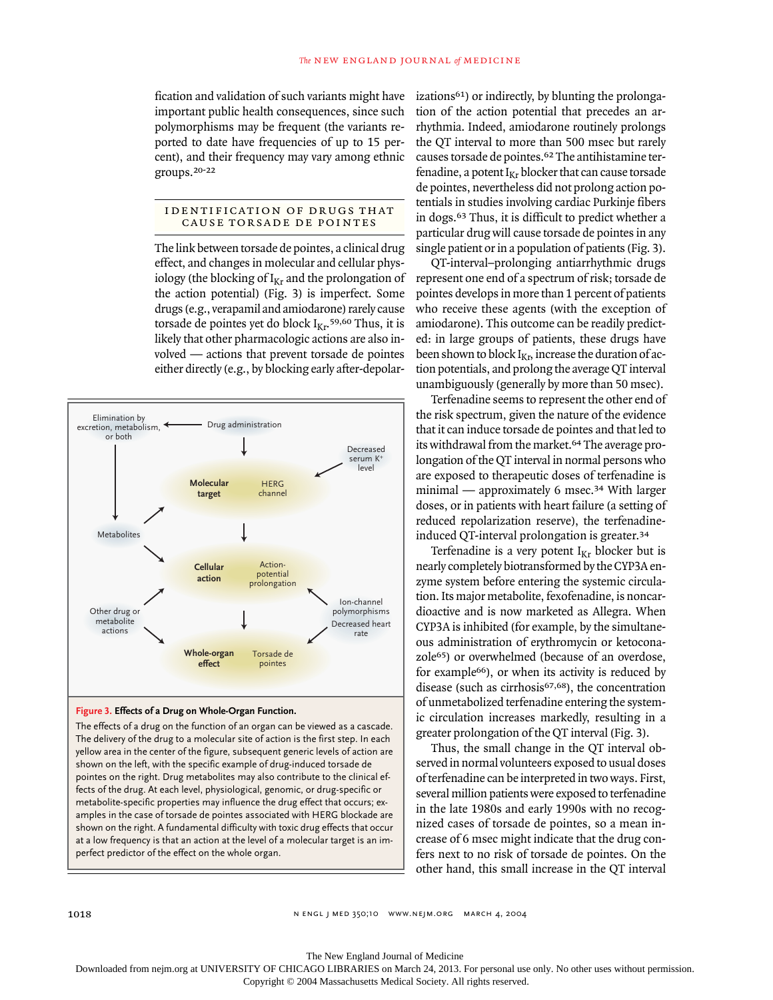fication and validation of such variants might have important public health consequences, since such polymorphisms may be frequent (the variants reported to date have frequencies of up to 15 percent), and their frequency may vary among ethnic groups.20-22

## identification of drugs that cause torsade de pointes

The link between torsade de pointes, a clinical drug effect, and changes in molecular and cellular physiology (the blocking of  $I_{Kr}$  and the prolongation of the action potential) (Fig. 3) is imperfect. Some drugs (e.g., verapamil and amiodarone) rarely cause torsade de pointes yet do block  $I_{Kr}$ .<sup>59,60</sup> Thus, it is likely that other pharmacologic actions are also involved — actions that prevent torsade de pointes either directly (e.g., by blocking early after-depolar-



#### **Figure 3. Effects of a Drug on Whole-Organ Function.**

The effects of a drug on the function of an organ can be viewed as a cascade. The delivery of the drug to a molecular site of action is the first step. In each yellow area in the center of the figure, subsequent generic levels of action are shown on the left, with the specific example of drug-induced torsade de pointes on the right. Drug metabolites may also contribute to the clinical effects of the drug. At each level, physiological, genomic, or drug-specific or metabolite-specific properties may influence the drug effect that occurs; examples in the case of torsade de pointes associated with HERG blockade are shown on the right. A fundamental difficulty with toxic drug effects that occur at a low frequency is that an action at the level of a molecular target is an imperfect predictor of the effect on the whole organ.

izations61) or indirectly, by blunting the prolongation of the action potential that precedes an arrhythmia. Indeed, amiodarone routinely prolongs the QT interval to more than 500 msec but rarely causes torsade de pointes.62 The antihistamine terfenadine, a potent  $I_{Kr}$  blocker that can cause torsade de pointes, nevertheless did not prolong action potentials in studies involving cardiac Purkinje fibers in dogs.63 Thus, it is difficult to predict whether a particular drug will cause torsade de pointes in any single patient or in a population of patients (Fig. 3).

QT-interval–prolonging antiarrhythmic drugs represent one end of a spectrum of risk; torsade de pointes develops in more than 1 percent of patients who receive these agents (with the exception of amiodarone). This outcome can be readily predicted: in large groups of patients, these drugs have been shown to block  $I_{Kr}$ , increase the duration of action potentials, and prolong the average QT interval unambiguously (generally by more than 50 msec).

Terfenadine seems to represent the other end of the risk spectrum, given the nature of the evidence that it can induce torsade de pointes and that led to its withdrawal from the market.64 The average prolongation of the QT interval in normal persons who are exposed to therapeutic doses of terfenadine is minimal — approximately 6 msec.34 With larger doses, or in patients with heart failure (a setting of reduced repolarization reserve), the terfenadineinduced QT-interval prolongation is greater.<sup>34</sup>

Terfenadine is a very potent  $I_{Kr}$  blocker but is nearly completely biotransformed by the CYP3A enzyme system before entering the systemic circulation. Its major metabolite, fexofenadine, is noncardioactive and is now marketed as Allegra. When CYP3A is inhibited (for example, by the simultaneous administration of erythromycin or ketoconazole65) or overwhelmed (because of an overdose, for example66), or when its activity is reduced by disease (such as cirrhosis67,68), the concentration of unmetabolized terfenadine entering the systemic circulation increases markedly, resulting in a greater prolongation of the QT interval (Fig. 3).

Thus, the small change in the QT interval observed in normal volunteers exposed to usual doses of terfenadine can be interpreted in two ways. First, several million patients were exposed to terfenadine in the late 1980s and early 1990s with no recognized cases of torsade de pointes, so a mean increase of 6 msec might indicate that the drug confers next to no risk of torsade de pointes. On the other hand, this small increase in the QT interval

The New England Journal of Medicine

Downloaded from nejm.org at UNIVERSITY OF CHICAGO LIBRARIES on March 24, 2013. For personal use only. No other uses without permission.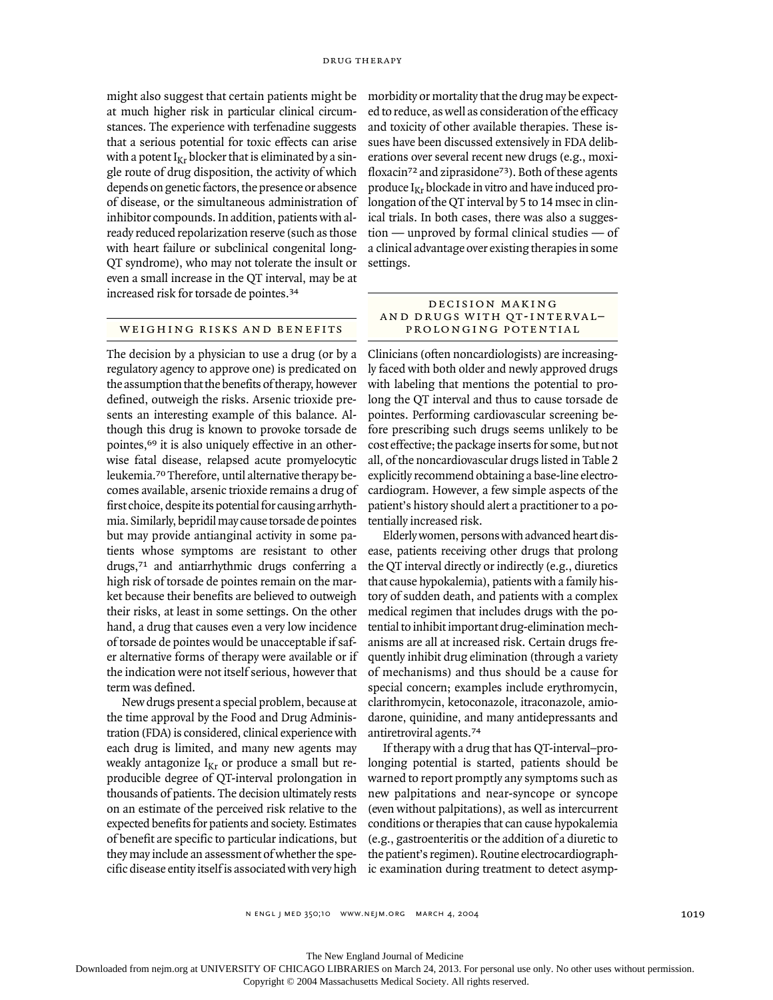might also suggest that certain patients might be at much higher risk in particular clinical circumstances. The experience with terfenadine suggests that a serious potential for toxic effects can arise with a potent  $I_{Kr}$  blocker that is eliminated by a single route of drug disposition, the activity of which depends on genetic factors, the presence or absence of disease, or the simultaneous administration of inhibitor compounds. In addition, patients with already reduced repolarization reserve (such as those with heart failure or subclinical congenital long-QT syndrome), who may not tolerate the insult or even a small increase in the QT interval, may be at increased risk for torsade de pointes.<sup>34</sup>

## weighing risks and benefits

The decision by a physician to use a drug (or by a regulatory agency to approve one) is predicated on the assumption that the benefits of therapy, however defined, outweigh the risks. Arsenic trioxide presents an interesting example of this balance. Although this drug is known to provoke torsade de pointes,69 it is also uniquely effective in an otherwise fatal disease, relapsed acute promyelocytic leukemia.70 Therefore, until alternative therapy becomes available, arsenic trioxide remains a drug of first choice, despite its potential for causing arrhythmia. Similarly, bepridil may cause torsade de pointes but may provide antianginal activity in some patients whose symptoms are resistant to other drugs,71 and antiarrhythmic drugs conferring a high risk of torsade de pointes remain on the market because their benefits are believed to outweigh their risks, at least in some settings. On the other hand, a drug that causes even a very low incidence of torsade de pointes would be unacceptable if safer alternative forms of therapy were available or if the indication were not itself serious, however that term was defined.

New drugs present a special problem, because at the time approval by the Food and Drug Administration (FDA) is considered, clinical experience with each drug is limited, and many new agents may weakly antagonize  $I_{Kr}$  or produce a small but reproducible degree of QT-interval prolongation in thousands of patients. The decision ultimately rests on an estimate of the perceived risk relative to the expected benefits for patients and society. Estimates of benefit are specific to particular indications, but they may include an assessment of whether the specific disease entity itself is associated with very high

morbidity or mortality that the drug may be expected to reduce, as well as consideration of the efficacy and toxicity of other available therapies. These issues have been discussed extensively in FDA deliberations over several recent new drugs (e.g., moxifloxacin<sup>72</sup> and ziprasidone<sup>73</sup>). Both of these agents produce  $I_{Kr}$  blockade in vitro and have induced prolongation of the QT interval by 5 to 14 msec in clinical trials. In both cases, there was also a suggestion — unproved by formal clinical studies — of a clinical advantage over existing therapies in some settings.

### decision making and drugs with qt-interval– prolonging potential

Clinicians (often noncardiologists) are increasingly faced with both older and newly approved drugs with labeling that mentions the potential to prolong the QT interval and thus to cause torsade de pointes. Performing cardiovascular screening before prescribing such drugs seems unlikely to be cost effective; the package inserts for some, but not all, of the noncardiovascular drugs listed in Table 2 explicitly recommend obtaining a base-line electrocardiogram. However, a few simple aspects of the patient's history should alert a practitioner to a potentially increased risk.

Elderly women, persons with advanced heart disease, patients receiving other drugs that prolong the QT interval directly or indirectly (e.g., diuretics that cause hypokalemia), patients with a family history of sudden death, and patients with a complex medical regimen that includes drugs with the potential to inhibit important drug-elimination mechanisms are all at increased risk. Certain drugs frequently inhibit drug elimination (through a variety of mechanisms) and thus should be a cause for special concern; examples include erythromycin, clarithromycin, ketoconazole, itraconazole, amiodarone, quinidine, and many antidepressants and antiretroviral agents.<sup>74</sup>

If therapy with a drug that has QT-interval–prolonging potential is started, patients should be warned to report promptly any symptoms such as new palpitations and near-syncope or syncope (even without palpitations), as well as intercurrent conditions or therapies that can cause hypokalemia (e.g., gastroenteritis or the addition of a diuretic to the patient's regimen). Routine electrocardiographic examination during treatment to detect asymp-

1019

The New England Journal of Medicine

Downloaded from nejm.org at UNIVERSITY OF CHICAGO LIBRARIES on March 24, 2013. For personal use only. No other uses without permission.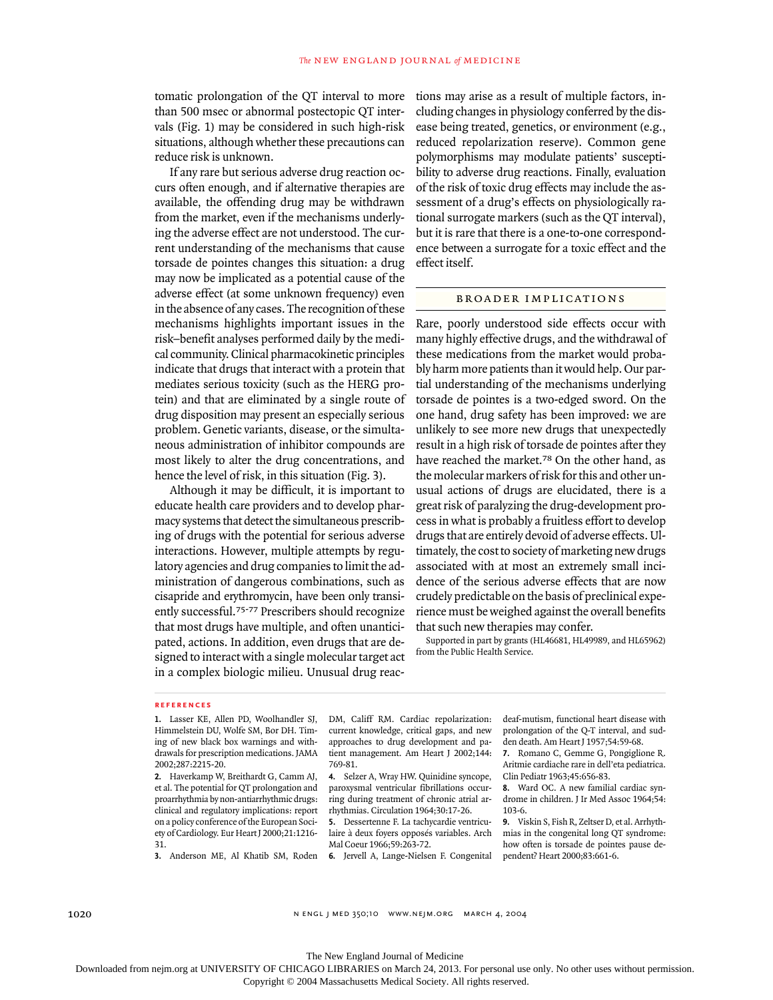tomatic prolongation of the QT interval to more than 500 msec or abnormal postectopic QT intervals (Fig. 1) may be considered in such high-risk situations, although whether these precautions can reduce risk is unknown.

If any rare but serious adverse drug reaction occurs often enough, and if alternative therapies are available, the offending drug may be withdrawn from the market, even if the mechanisms underlying the adverse effect are not understood. The current understanding of the mechanisms that cause torsade de pointes changes this situation: a drug may now be implicated as a potential cause of the adverse effect (at some unknown frequency) even in the absence of any cases. The recognition of these mechanisms highlights important issues in the risk–benefit analyses performed daily by the medical community. Clinical pharmacokinetic principles indicate that drugs that interact with a protein that mediates serious toxicity (such as the HERG protein) and that are eliminated by a single route of drug disposition may present an especially serious problem. Genetic variants, disease, or the simultaneous administration of inhibitor compounds are most likely to alter the drug concentrations, and hence the level of risk, in this situation (Fig. 3).

Although it may be difficult, it is important to educate health care providers and to develop pharmacy systems that detect the simultaneous prescribing of drugs with the potential for serious adverse interactions. However, multiple attempts by regulatory agencies and drug companies to limit the administration of dangerous combinations, such as cisapride and erythromycin, have been only transiently successful.75-77 Prescribers should recognize that most drugs have multiple, and often unanticipated, actions. In addition, even drugs that are designed to interact with a single molecular target act in a complex biologic milieu. Unusual drug reac-

tions may arise as a result of multiple factors, including changes in physiology conferred by the disease being treated, genetics, or environment (e.g., reduced repolarization reserve). Common gene polymorphisms may modulate patients' susceptibility to adverse drug reactions. Finally, evaluation of the risk of toxic drug effects may include the assessment of a drug's effects on physiologically rational surrogate markers (such as the QT interval), but it is rare that there is a one-to-one correspondence between a surrogate for a toxic effect and the effect itself.

## broader implications

Rare, poorly understood side effects occur with many highly effective drugs, and the withdrawal of these medications from the market would probably harm more patients than it would help. Our partial understanding of the mechanisms underlying torsade de pointes is a two-edged sword. On the one hand, drug safety has been improved: we are unlikely to see more new drugs that unexpectedly result in a high risk of torsade de pointes after they have reached the market.<sup>78</sup> On the other hand, as the molecular markers of risk for this and other unusual actions of drugs are elucidated, there is a great risk of paralyzing the drug-development process in what is probably a fruitless effort to develop drugs that are entirely devoid of adverse effects. Ultimately, the cost to society of marketing new drugs associated with at most an extremely small incidence of the serious adverse effects that are now crudely predictable on the basis of preclinical experience must be weighed against the overall benefits that such new therapies may confer.

Supported in part by grants (HL46681, HL49989, and HL65962) from the Public Health Service.

#### **references**

DM, Califf RM. Cardiac repolarization: current knowledge, critical gaps, and new approaches to drug development and patient management. Am Heart J 2002;144: 769-81.

**4.** Selzer A, Wray HW. Quinidine syncope, paroxysmal ventricular fibrillations occurring during treatment of chronic atrial arrhythmias. Circulation 1964;30:17-26.

**5.** Dessertenne F. La tachycardie ventriculaire à deux foyers opposés variables. Arch Mal Coeur 1966;59:263-72.

**6.** Jervell A, Lange-Nielsen F. Congenital

deaf-mutism, functional heart disease with prolongation of the Q-T interval, and sudden death. Am Heart J 1957;54:59-68.

**7.** Romano C, Gemme G, Pongiglione R. Aritmie cardiache rare in dell'eta pediatrica. Clin Pediatr 1963;45:656-83.

**8.** Ward OC. A new familial cardiac syndrome in children. J Ir Med Assoc 1964;54: 103-6.

**9.** Viskin S, Fish R, Zeltser D, et al. Arrhythmias in the congenital long QT syndrome: how often is torsade de pointes pause dependent? Heart 2000;83:661-6.

The New England Journal of Medicine

Downloaded from nejm.org at UNIVERSITY OF CHICAGO LIBRARIES on March 24, 2013. For personal use only. No other uses without permission.

**<sup>1.</sup>** Lasser KE, Allen PD, Woolhandler SJ, Himmelstein DU, Wolfe SM, Bor DH. Timing of new black box warnings and withdrawals for prescription medications. JAMA 2002;287:2215-20.

**<sup>2.</sup>** Haverkamp W, Breithardt G, Camm AJ, et al. The potential for QT prolongation and proarrhythmia by non-antiarrhythmic drugs: clinical and regulatory implications: report on a policy conference of the European Society of Cardiology. Eur Heart J 2000;21:1216- 31.

**<sup>3.</sup>** Anderson ME, Al Khatib SM, Roden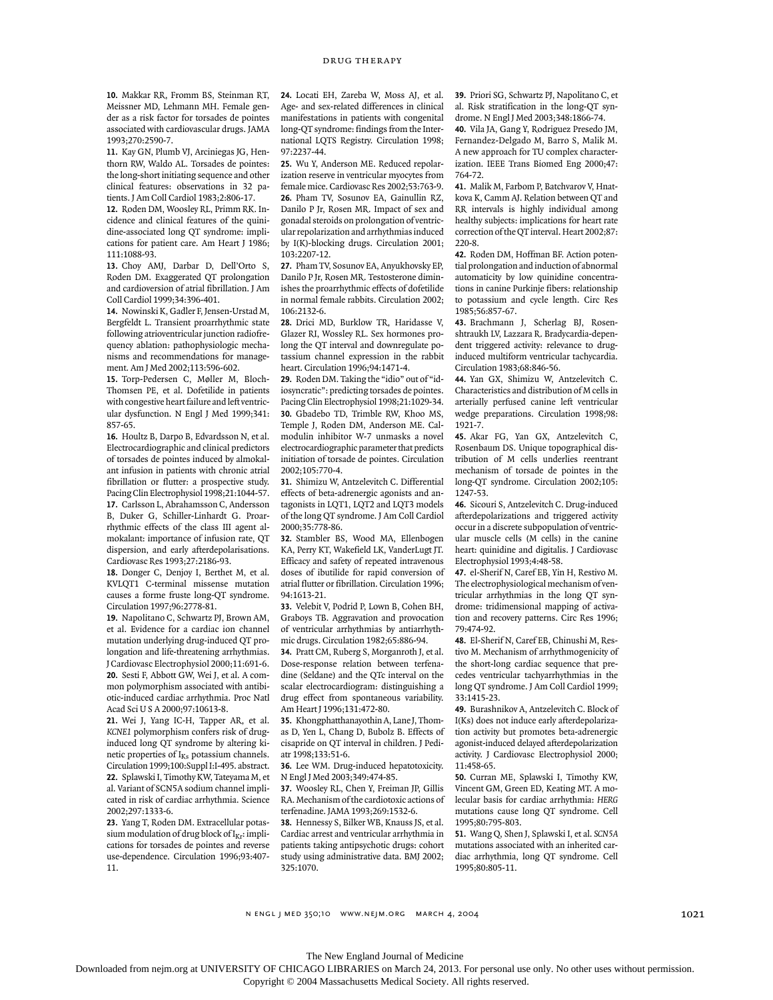**10.** Makkar RR, Fromm BS, Steinman RT, Meissner MD, Lehmann MH. Female gender as a risk factor for torsades de pointes associated with cardiovascular drugs. JAMA 1993;270:2590-7.

**11.** Kay GN, Plumb VJ, Arciniegas JG, Henthorn RW, Waldo AL. Torsades de pointes: the long-short initiating sequence and other clinical features: observations in 32 patients. J Am Coll Cardiol 1983;2:806-17.

**12.** Roden DM, Woosley RL, Primm RK. Incidence and clinical features of the quinidine-associated long QT syndrome: implications for patient care. Am Heart J 1986; 111:1088-93.

**13.** Choy AMJ, Darbar D, Dell'Orto S, Roden DM. Exaggerated QT prolongation and cardioversion of atrial fibrillation. J Am Coll Cardiol 1999;34:396-401.

**14.** Nowinski K, Gadler F, Jensen-Urstad M, Bergfeldt L. Transient proarrhythmic state following atrioventricular junction radiofrequency ablation: pathophysiologic mechanisms and recommendations for management. Am J Med 2002;113:596-602.

**15.** Torp-Pedersen C, Møller M, Bloch-Thomsen PE, et al. Dofetilide in patients with congestive heart failure and left ventricular dysfunction. N Engl J Med 1999;341: 857-65.

**16.** Houltz B, Darpo B, Edvardsson N, et al. Electrocardiographic and clinical predictors of torsades de pointes induced by almokalant infusion in patients with chronic atrial fibrillation or flutter: a prospective study. Pacing Clin Electrophysiol 1998;21:1044-57. **17.** Carlsson L, Abrahamsson C, Andersson B, Duker G, Schiller-Linhardt G. Proarrhythmic effects of the class III agent almokalant: importance of infusion rate, QT dispersion, and early afterdepolarisations. Cardiovasc Res 1993;27:2186-93.

**18.** Donger C, Denjoy I, Berthet M, et al. KVLQT1 C-terminal missense mutation causes a forme fruste long-QT syndrome. Circulation 1997;96:2778-81.

**19.** Napolitano C, Schwartz PJ, Brown AM, et al. Evidence for a cardiac ion channel mutation underlying drug-induced QT prolongation and life-threatening arrhythmias. J Cardiovasc Electrophysiol 2000;11:691-6. **20.** Sesti F, Abbott GW, Wei J, et al. A common polymorphism associated with antibiotic-induced cardiac arrhythmia. Proc Natl Acad Sci U S A 2000;97:10613-8.

**21.** Wei J, Yang IC-H, Tapper AR, et al. *KCNE1* polymorphism confers risk of druginduced long QT syndrome by altering kinetic properties of  $\rm I_{Ks}$  potassium channels. Circulation 1999;100:Suppl I:I-495. abstract. **22.** Splawski I, Timothy KW, Tateyama M, et al. Variant of SCN5A sodium channel implicated in risk of cardiac arrhythmia. Science 2002;297:1333-6.

**23.** Yang T, Roden DM. Extracellular potassium modulation of drug block of  $I_{Kr}$ : implications for torsades de pointes and reverse use-dependence. Circulation 1996;93:407- 11.

**24.** Locati EH, Zareba W, Moss AJ, et al. Age- and sex-related differences in clinical manifestations in patients with congenital long-QT syndrome: findings from the International LQTS Registry. Circulation 1998; 97:2237-44.

**25.** Wu Y, Anderson ME. Reduced repolarization reserve in ventricular myocytes from female mice. Cardiovasc Res 2002;53:763-9. **26.** Pham TV, Sosunov EA, Gainullin RZ, Danilo P Jr, Rosen MR. Impact of sex and gonadal steroids on prolongation of ventricular repolarization and arrhythmias induced by I(K)-blocking drugs. Circulation 2001; 103:2207-12.

**27.** Pham TV, Sosunov EA, Anyukhovsky EP, Danilo P Jr, Rosen MR. Testosterone diminishes the proarrhythmic effects of dofetilide in normal female rabbits. Circulation 2002; 106:2132-6.

**28.** Drici MD, Burklow TR, Haridasse V, Glazer RI, Wossley RL. Sex hormones prolong the QT interval and downregulate potassium channel expression in the rabbit heart. Circulation 1996;94:1471-4.

**29.** Roden DM. Taking the "idio" out of "idiosyncratic": predicting torsades de pointes. Pacing Clin Electrophysiol 1998;21:1029-34. **30.** Gbadebo TD, Trimble RW, Khoo MS, Temple J, Roden DM, Anderson ME. Calmodulin inhibitor W-7 unmasks a novel electrocardiographic parameter that predicts initiation of torsade de pointes. Circulation 2002;105:770-4.

**31.** Shimizu W, Antzelevitch C. Differential effects of beta-adrenergic agonists and antagonists in LQT1, LQT2 and LQT3 models of the long QT syndrome. J Am Coll Cardiol 2000;35:778-86.

**32.** Stambler BS, Wood MA, Ellenbogen KA, Perry KT, Wakefield LK, VanderLugt JT. Efficacy and safety of repeated intravenous doses of ibutilide for rapid conversion of atrial flutter or fibrillation. Circulation 1996; 94:1613-21.

**33.** Velebit V, Podrid P, Lown B, Cohen BH, Graboys TB. Aggravation and provocation of ventricular arrhythmias by antiarrhythmic drugs. Circulation 1982;65:886-94.

**34.** Pratt CM, Ruberg S, Morganroth J, et al. Dose-response relation between terfenadine (Seldane) and the QTc interval on the scalar electrocardiogram: distinguishing a drug effect from spontaneous variability. Am Heart J 1996;131:472-80.

**35.** Khongphatthanayothin A, Lane J, Thomas D, Yen L, Chang D, Bubolz B. Effects of cisapride on QT interval in children. J Pediatr 1998;133:51-6.

**36.** Lee WM. Drug-induced hepatotoxicity. N Engl J Med 2003;349:474-85.

**37.** Woosley RL, Chen Y, Freiman JP, Gillis RA. Mechanism of the cardiotoxic actions of terfenadine. JAMA 1993;269:1532-6.

**38.** Hennessy S, Bilker WB, Knauss JS, et al. Cardiac arrest and ventricular arrhythmia in patients taking antipsychotic drugs: cohort study using administrative data. BMJ 2002; 325:1070.

**39.** Priori SG, Schwartz PJ, Napolitano C, et al. Risk stratification in the long-QT syndrome. N Engl J Med 2003;348:1866-74.

**40.** Vila JA, Gang Y, Rodriguez Presedo JM, Fernandez-Delgado M, Barro S, Malik M. A new approach for TU complex characterization. IEEE Trans Biomed Eng 2000;47: 764-72.

**41.** Malik M, Farbom P, Batchvarov V, Hnatkova K, Camm AJ. Relation between QT and RR intervals is highly individual among healthy subjects: implications for heart rate correction of the QT interval. Heart 2002;87: 220-8.

**42.** Roden DM, Hoffman BF. Action potential prolongation and induction of abnormal automaticity by low quinidine concentrations in canine Purkinje fibers: relationship to potassium and cycle length. Circ Res 1985;56:857-67.

**43.** Brachmann J, Scherlag BJ, Rosenshtraukh LV, Lazzara R. Bradycardia-dependent triggered activity: relevance to druginduced multiform ventricular tachycardia. Circulation 1983;68:846-56.

**44.** Yan GX, Shimizu W, Antzelevitch C. Characteristics and distribution of M cells in arterially perfused canine left ventricular wedge preparations. Circulation 1998;98: 1921-7.

**45.** Akar FG, Yan GX, Antzelevitch C, Rosenbaum DS. Unique topographical distribution of M cells underlies reentrant mechanism of torsade de pointes in the long-QT syndrome. Circulation 2002;105: 1247-53.

**46.** Sicouri S, Antzelevitch C. Drug-induced afterdepolarizations and triggered activity occur in a discrete subpopulation of ventricular muscle cells (M cells) in the canine heart: quinidine and digitalis. J Cardiovasc Electrophysiol 1993;4:48-58.

**47.** el-Sherif N, Caref EB, Yin H, Restivo M. The electrophysiological mechanism of ventricular arrhythmias in the long QT syndrome: tridimensional mapping of activation and recovery patterns. Circ Res 1996; 79:474-92.

**48.** El-Sherif N, Caref EB, Chinushi M, Restivo M. Mechanism of arrhythmogenicity of the short-long cardiac sequence that precedes ventricular tachyarrhythmias in the long QT syndrome. J Am Coll Cardiol 1999; 33:1415-23.

**49.** Burashnikov A, Antzelevitch C. Block of I(Ks) does not induce early afterdepolarization activity but promotes beta-adrenergic agonist-induced delayed afterdepolarization activity. J Cardiovasc Electrophysiol 2000; 11:458-65.

**50.** Curran ME, Splawski I, Timothy KW, Vincent GM, Green ED, Keating MT. A molecular basis for cardiac arrhythmia: *HERG* mutations cause long QT syndrome. Cell 1995;80:795-803.

**51.** Wang Q, Shen J, Splawski I, et al. *SCN5A* mutations associated with an inherited cardiac arrhythmia, long QT syndrome. Cell 1995;80:805-11.

n engl j med 350;10 www.nejm.org march 4, 2004

1021

The New England Journal of Medicine

Downloaded from nejm.org at UNIVERSITY OF CHICAGO LIBRARIES on March 24, 2013. For personal use only. No other uses without permission.